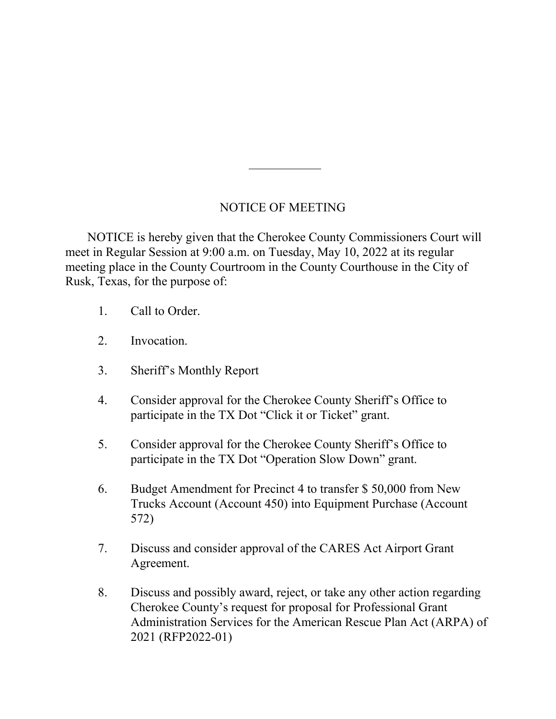## NOTICE OF MEETING

 NOTICE is hereby given that the Cherokee County Commissioners Court will meet in Regular Session at 9:00 a.m. on Tuesday, May 10, 2022 at its regular meeting place in the County Courtroom in the County Courthouse in the City of Rusk, Texas, for the purpose of:

- 1. Call to Order.
- 2. Invocation.
- 3. Sheriff's Monthly Report
- 4. Consider approval for the Cherokee County Sheriff's Office to participate in the TX Dot "Click it or Ticket" grant.
- 5. Consider approval for the Cherokee County Sheriff's Office to participate in the TX Dot "Operation Slow Down" grant.
- 6. Budget Amendment for Precinct 4 to transfer \$ 50,000 from New Trucks Account (Account 450) into Equipment Purchase (Account 572)
- 7. Discuss and consider approval of the CARES Act Airport Grant Agreement.
- 8. Discuss and possibly award, reject, or take any other action regarding Cherokee County's request for proposal for Professional Grant Administration Services for the American Rescue Plan Act (ARPA) of 2021 (RFP2022-01)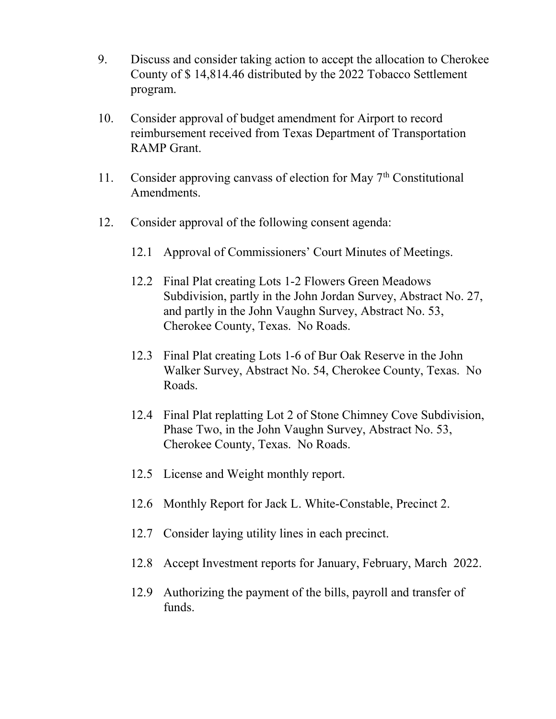- 9. Discuss and consider taking action to accept the allocation to Cherokee County of \$ 14,814.46 distributed by the 2022 Tobacco Settlement program.
- 10. Consider approval of budget amendment for Airport to record reimbursement received from Texas Department of Transportation RAMP Grant.
- 11. Consider approving canvass of election for May  $7<sup>th</sup>$  Constitutional Amendments.
- 12. Consider approval of the following consent agenda:
	- 12.1 Approval of Commissioners' Court Minutes of Meetings.
	- 12.2 Final Plat creating Lots 1-2 Flowers Green Meadows Subdivision, partly in the John Jordan Survey, Abstract No. 27, and partly in the John Vaughn Survey, Abstract No. 53, Cherokee County, Texas. No Roads.
	- 12.3 Final Plat creating Lots 1-6 of Bur Oak Reserve in the John Walker Survey, Abstract No. 54, Cherokee County, Texas. No Roads.
	- 12.4 Final Plat replatting Lot 2 of Stone Chimney Cove Subdivision, Phase Two, in the John Vaughn Survey, Abstract No. 53, Cherokee County, Texas. No Roads.
	- 12.5 License and Weight monthly report.
	- 12.6 Monthly Report for Jack L. White-Constable, Precinct 2.
	- 12.7 Consider laying utility lines in each precinct.
	- 12.8 Accept Investment reports for January, February, March 2022.
	- 12.9 Authorizing the payment of the bills, payroll and transfer of funds.